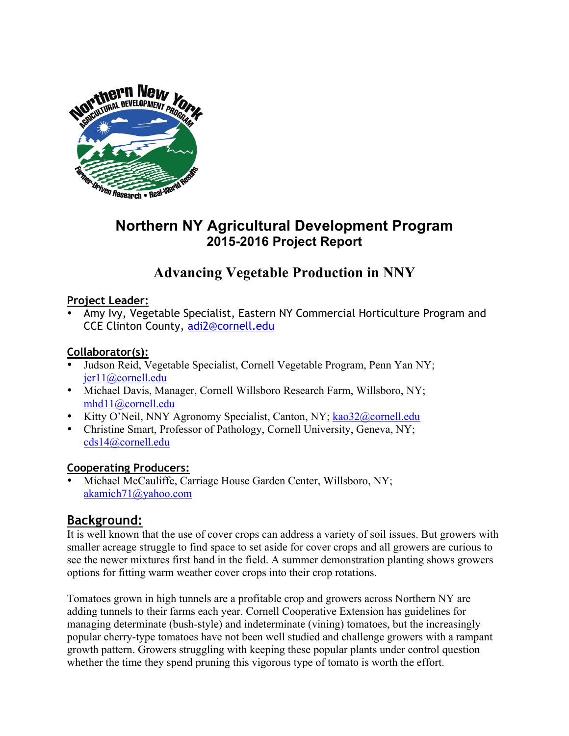

## **Northern NY Agricultural Development Program 2015-2016 Project Report**

# **Advancing Vegetable Production in NNY**

## **Project Leader:**

• Amy Ivy, Vegetable Specialist, Eastern NY Commercial Horticulture Program and CCE Clinton County, adi2@cornell.edu

## **Collaborator(s):**

- Judson Reid, Vegetable Specialist, Cornell Vegetable Program, Penn Yan NY; jer11@cornell.edu
- Michael Davis, Manager, Cornell Willsboro Research Farm, Willsboro, NY; mhd11@cornell.edu
- Kitty O'Neil, NNY Agronomy Specialist, Canton, NY; kao32@cornell.edu
- Christine Smart, Professor of Pathology, Cornell University, Geneva, NY; cds14@cornell.edu

#### **Cooperating Producers:**

• Michael McCauliffe, Carriage House Garden Center, Willsboro, NY; akamich71@yahoo.com

## **Background:**

It is well known that the use of cover crops can address a variety of soil issues. But growers with smaller acreage struggle to find space to set aside for cover crops and all growers are curious to see the newer mixtures first hand in the field. A summer demonstration planting shows growers options for fitting warm weather cover crops into their crop rotations.

Tomatoes grown in high tunnels are a profitable crop and growers across Northern NY are adding tunnels to their farms each year. Cornell Cooperative Extension has guidelines for managing determinate (bush-style) and indeterminate (vining) tomatoes, but the increasingly popular cherry-type tomatoes have not been well studied and challenge growers with a rampant growth pattern. Growers struggling with keeping these popular plants under control question whether the time they spend pruning this vigorous type of tomato is worth the effort.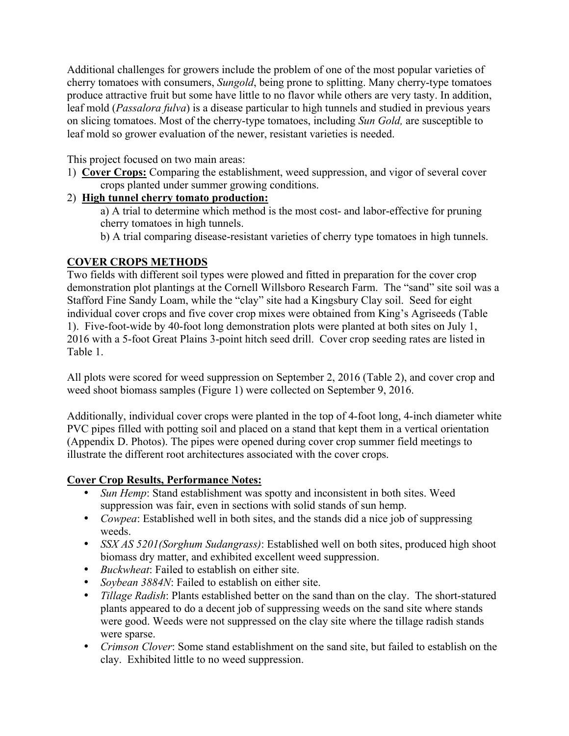Additional challenges for growers include the problem of one of the most popular varieties of cherry tomatoes with consumers, *Sungold*, being prone to splitting. Many cherry-type tomatoes produce attractive fruit but some have little to no flavor while others are very tasty. In addition, leaf mold (*Passalora fulva*) is a disease particular to high tunnels and studied in previous years on slicing tomatoes. Most of the cherry-type tomatoes, including *Sun Gold,* are susceptible to leaf mold so grower evaluation of the newer, resistant varieties is needed.

This project focused on two main areas:

1) **Cover Crops:** Comparing the establishment, weed suppression, and vigor of several cover crops planted under summer growing conditions.

#### 2) **High tunnel cherry tomato production:**

- a) A trial to determine which method is the most cost- and labor-effective for pruning cherry tomatoes in high tunnels.
- b) A trial comparing disease-resistant varieties of cherry type tomatoes in high tunnels.

#### **COVER CROPS METHODS**

Two fields with different soil types were plowed and fitted in preparation for the cover crop demonstration plot plantings at the Cornell Willsboro Research Farm. The "sand" site soil was a Stafford Fine Sandy Loam, while the "clay" site had a Kingsbury Clay soil. Seed for eight individual cover crops and five cover crop mixes were obtained from King's Agriseeds (Table 1). Five-foot-wide by 40-foot long demonstration plots were planted at both sites on July 1, 2016 with a 5-foot Great Plains 3-point hitch seed drill. Cover crop seeding rates are listed in Table 1.

All plots were scored for weed suppression on September 2, 2016 (Table 2), and cover crop and weed shoot biomass samples (Figure 1) were collected on September 9, 2016.

Additionally, individual cover crops were planted in the top of 4-foot long, 4-inch diameter white PVC pipes filled with potting soil and placed on a stand that kept them in a vertical orientation (Appendix D. Photos). The pipes were opened during cover crop summer field meetings to illustrate the different root architectures associated with the cover crops.

#### **Cover Crop Results, Performance Notes:**

- *Sun Hemp*: Stand establishment was spotty and inconsistent in both sites. Weed suppression was fair, even in sections with solid stands of sun hemp.
- *Cowpea*: Established well in both sites, and the stands did a nice job of suppressing weeds.
- *SSX AS 5201(Sorghum Sudangrass)*: Established well on both sites, produced high shoot biomass dry matter, and exhibited excellent weed suppression.
- *Buckwheat*: Failed to establish on either site.
- *Soybean 3884N*: Failed to establish on either site.
- *Tillage Radish*: Plants established better on the sand than on the clay. The short-statured plants appeared to do a decent job of suppressing weeds on the sand site where stands were good. Weeds were not suppressed on the clay site where the tillage radish stands were sparse.
- *Crimson Clover*: Some stand establishment on the sand site, but failed to establish on the clay. Exhibited little to no weed suppression.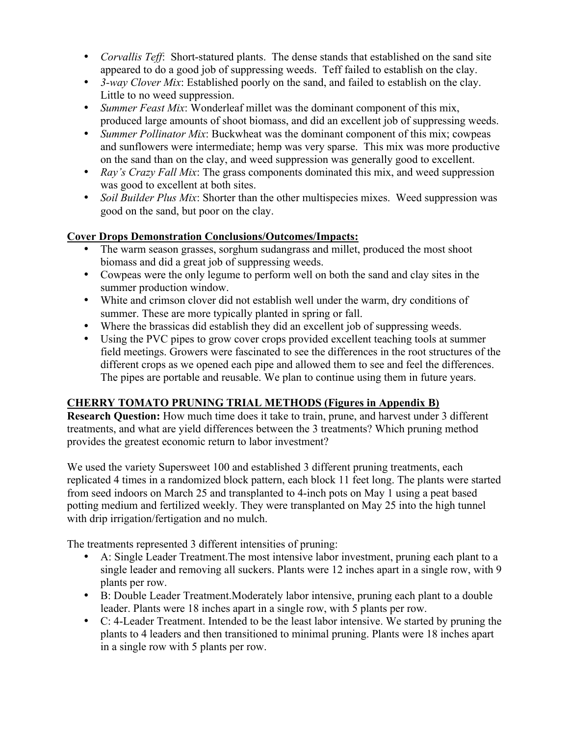- *Corvallis Teff*: Short-statured plants. The dense stands that established on the sand site appeared to do a good job of suppressing weeds. Teff failed to establish on the clay.
- *3-way Clover Mix*: Established poorly on the sand, and failed to establish on the clay. Little to no weed suppression.
- *Summer Feast Mix*: Wonderleaf millet was the dominant component of this mix, produced large amounts of shoot biomass, and did an excellent job of suppressing weeds.
- *Summer Pollinator Mix:* Buckwheat was the dominant component of this mix; cowpeas and sunflowers were intermediate; hemp was very sparse. This mix was more productive on the sand than on the clay, and weed suppression was generally good to excellent.
- *Ray's Crazy Fall Mix*: The grass components dominated this mix, and weed suppression was good to excellent at both sites.
- *Soil Builder Plus Mix:* Shorter than the other multispecies mixes. Weed suppression was good on the sand, but poor on the clay.

## **Cover Drops Demonstration Conclusions/Outcomes/Impacts:**

- The warm season grasses, sorghum sudangrass and millet, produced the most shoot biomass and did a great job of suppressing weeds.
- Cowpeas were the only legume to perform well on both the sand and clay sites in the summer production window.
- White and crimson clover did not establish well under the warm, dry conditions of summer. These are more typically planted in spring or fall.
- Where the brassicas did establish they did an excellent job of suppressing weeds.
- Using the PVC pipes to grow cover crops provided excellent teaching tools at summer field meetings. Growers were fascinated to see the differences in the root structures of the different crops as we opened each pipe and allowed them to see and feel the differences. The pipes are portable and reusable. We plan to continue using them in future years.

## **CHERRY TOMATO PRUNING TRIAL METHODS (Figures in Appendix B)**

**Research Question:** How much time does it take to train, prune, and harvest under 3 different treatments, and what are yield differences between the 3 treatments? Which pruning method provides the greatest economic return to labor investment?

We used the variety Supersweet 100 and established 3 different pruning treatments, each replicated 4 times in a randomized block pattern, each block 11 feet long. The plants were started from seed indoors on March 25 and transplanted to 4-inch pots on May 1 using a peat based potting medium and fertilized weekly. They were transplanted on May 25 into the high tunnel with drip irrigation/fertigation and no mulch.

The treatments represented 3 different intensities of pruning:

- A: Single Leader Treatment.The most intensive labor investment, pruning each plant to a single leader and removing all suckers. Plants were 12 inches apart in a single row, with 9 plants per row.
- B: Double Leader Treatment.Moderately labor intensive, pruning each plant to a double leader. Plants were 18 inches apart in a single row, with 5 plants per row.
- C: 4-Leader Treatment. Intended to be the least labor intensive. We started by pruning the plants to 4 leaders and then transitioned to minimal pruning. Plants were 18 inches apart in a single row with 5 plants per row.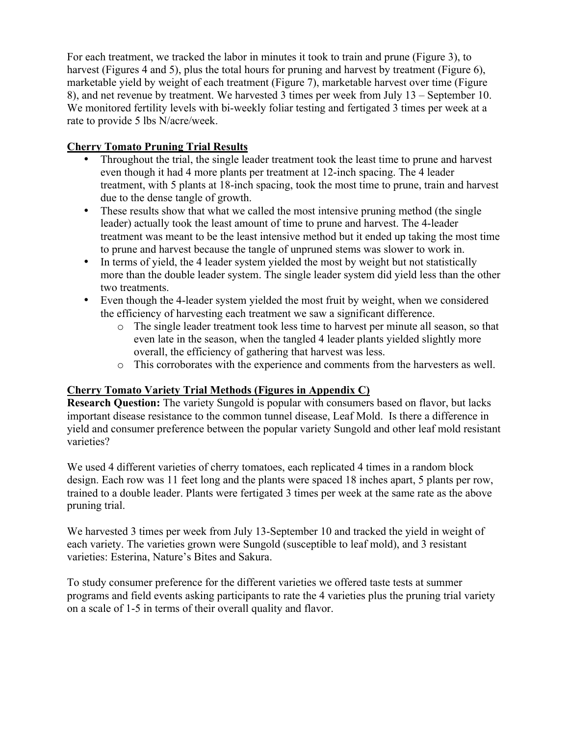For each treatment, we tracked the labor in minutes it took to train and prune (Figure 3), to harvest (Figures 4 and 5), plus the total hours for pruning and harvest by treatment (Figure 6), marketable yield by weight of each treatment (Figure 7), marketable harvest over time (Figure 8), and net revenue by treatment. We harvested 3 times per week from July 13 – September 10. We monitored fertility levels with bi-weekly foliar testing and fertigated 3 times per week at a rate to provide 5 lbs N/acre/week.

### **Cherry Tomato Pruning Trial Results**

- Throughout the trial, the single leader treatment took the least time to prune and harvest even though it had 4 more plants per treatment at 12-inch spacing. The 4 leader treatment, with 5 plants at 18-inch spacing, took the most time to prune, train and harvest due to the dense tangle of growth.
- These results show that what we called the most intensive pruning method (the single leader) actually took the least amount of time to prune and harvest. The 4-leader treatment was meant to be the least intensive method but it ended up taking the most time to prune and harvest because the tangle of unpruned stems was slower to work in.
- In terms of yield, the 4 leader system yielded the most by weight but not statistically more than the double leader system. The single leader system did yield less than the other two treatments.
- Even though the 4-leader system yielded the most fruit by weight, when we considered the efficiency of harvesting each treatment we saw a significant difference.
	- o The single leader treatment took less time to harvest per minute all season, so that even late in the season, when the tangled 4 leader plants yielded slightly more overall, the efficiency of gathering that harvest was less.
	- o This corroborates with the experience and comments from the harvesters as well.

## **Cherry Tomato Variety Trial Methods (Figures in Appendix C)**

**Research Question:** The variety Sungold is popular with consumers based on flavor, but lacks important disease resistance to the common tunnel disease, Leaf Mold. Is there a difference in yield and consumer preference between the popular variety Sungold and other leaf mold resistant varieties?

We used 4 different varieties of cherry tomatoes, each replicated 4 times in a random block design. Each row was 11 feet long and the plants were spaced 18 inches apart, 5 plants per row, trained to a double leader. Plants were fertigated 3 times per week at the same rate as the above pruning trial.

We harvested 3 times per week from July 13-September 10 and tracked the yield in weight of each variety. The varieties grown were Sungold (susceptible to leaf mold), and 3 resistant varieties: Esterina, Nature's Bites and Sakura.

To study consumer preference for the different varieties we offered taste tests at summer programs and field events asking participants to rate the 4 varieties plus the pruning trial variety on a scale of 1-5 in terms of their overall quality and flavor.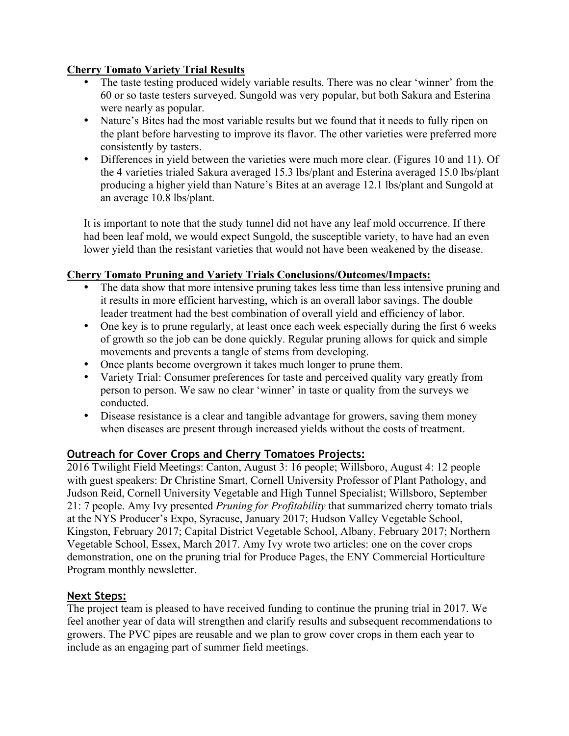### **Cherry Tomato Variety Trial Results**

- The taste testing produced widely variable results. There was no clear 'winner' from the 60 or so taste testers surveyed. Sungold was very popular, but both Sakura and Esterina were nearly as popular.
- Nature's Bites had the most variable results but we found that it needs to fully ripen on the plant before harvesting to improve its flavor. The other varieties were preferred more consistently by tasters.
- Differences in yield between the varieties were much more clear. (Figures 10 and 11). Of the 4 varieties trialed Sakura averaged 15.3 lbs/plant and Esterina averaged 15.0 lbs/plant producing a higher yield than Nature's Bites at an average 12.1 lbs/plant and Sungold at an average 10.8 lbs/plant.

It is important to note that the study tunnel did not have any leaf mold occurrence. If there had been leaf mold, we would expect Sungold, the susceptible variety, to have had an even lower yield than the resistant varieties that would not have been weakened by the disease.

#### **Cherry Tomato Pruning and Variety Trials Conclusions/Outcomes/Impacts:**

- The data show that more intensive pruning takes less time than less intensive pruning and it results in more efficient harvesting, which is an overall labor savings. The double leader treatment had the best combination of overall yield and efficiency of labor.
- One key is to prune regularly, at least once each week especially during the first 6 weeks of growth so the job can be done quickly. Regular pruning allows for quick and simple movements and prevents a tangle of stems from developing.
- Once plants become overgrown it takes much longer to prune them.
- Variety Trial: Consumer preferences for taste and perceived quality vary greatly from person to person. We saw no clear 'winner' in taste or quality from the surveys we conducted.
- Disease resistance is a clear and tangible advantage for growers, saving them money when diseases are present through increased yields without the costs of treatment.

## **Outreach for Cover Crops and Cherry Tomatoes Projects:**

2016 Twilight Field Meetings: Canton, August 3: 16 people; Willsboro, August 4: 12 people with guest speakers: Dr Christine Smart, Cornell University Professor of Plant Pathology, and Judson Reid, Cornell University Vegetable and High Tunnel Specialist; Willsboro, September 21: 7 people. Amy Ivy presented *Pruning for Profitability* that summarized cherry tomato trials at the NYS Producer's Expo, Syracuse, January 2017; Hudson Valley Vegetable School, Kingston, February 2017; Capital District Vegetable School, Albany, February 2017; Northern Vegetable School, Essex, March 2017. Amy Ivy wrote two articles: one on the cover crops demonstration, one on the pruning trial for Produce Pages, the ENY Commercial Horticulture Program monthly newsletter.

## **Next Steps:**

The project team is pleased to have received funding to continue the pruning trial in 2017. We feel another year of data will strengthen and clarify results and subsequent recommendations to growers. The PVC pipes are reusable and we plan to grow cover crops in them each year to include as an engaging part of summer field meetings.